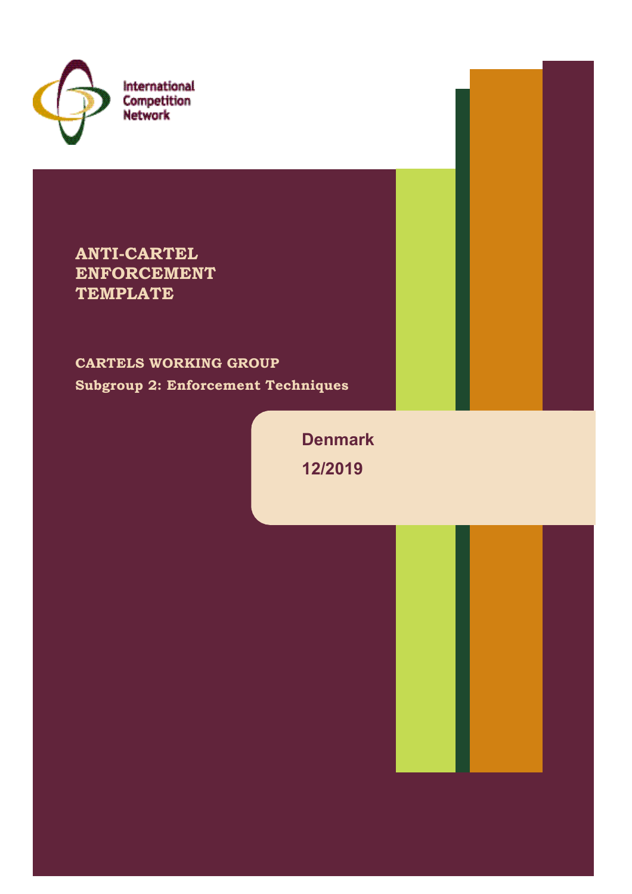

International Competition<br>Network

**ANTI-CARTEL ENFORCEMENT TEMPLATE**

**CARTELS WORKING GROUP Subgroup 2: Enforcement Techniques**

> **Denmark 12/2019**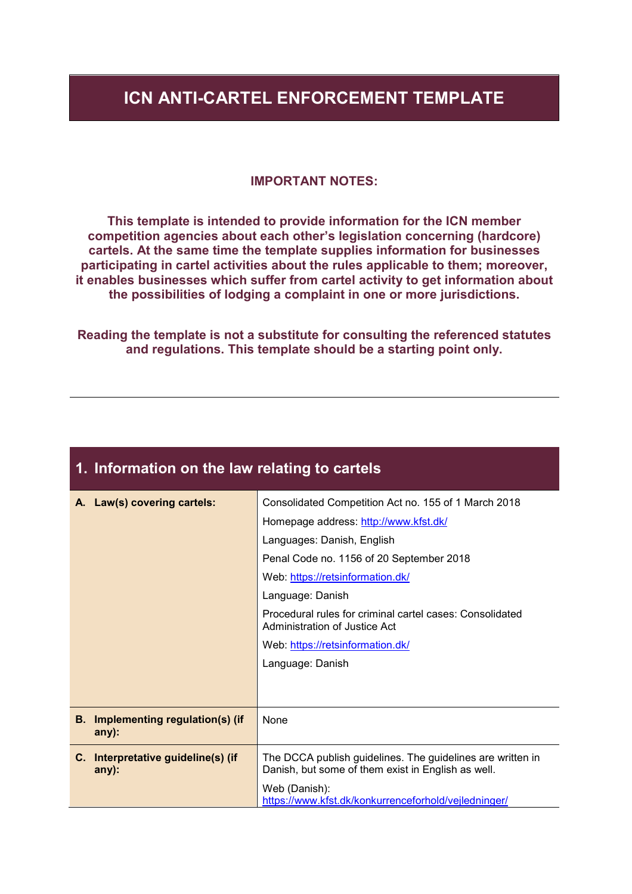#### **ICN ANTI-CARTEL ENFORCEMENT TEMPLATE**

#### **IMPORTANT NOTES:**

**This template is intended to provide information for the ICN member competition agencies about each other's legislation concerning (hardcore) cartels. At the same time the template supplies information for businesses participating in cartel activities about the rules applicable to them; moreover, it enables businesses which suffer from cartel activity to get information about the possibilities of lodging a complaint in one or more jurisdictions.**

**Reading the template is not a substitute for consulting the referenced statutes and regulations. This template should be a starting point only.**

**1. Information on the law relating to cartels**

|      | A. Law(s) covering cartels:                       | Consolidated Competition Act no. 155 of 1 March 2018                                                             |
|------|---------------------------------------------------|------------------------------------------------------------------------------------------------------------------|
|      |                                                   | Homepage address: http://www.kfst.dk/                                                                            |
|      |                                                   | Languages: Danish, English                                                                                       |
|      |                                                   | Penal Code no. 1156 of 20 September 2018                                                                         |
|      |                                                   | Web: https://retsinformation.dk/                                                                                 |
|      |                                                   | Language: Danish                                                                                                 |
|      |                                                   | Procedural rules for criminal cartel cases: Consolidated<br>Administration of Justice Act                        |
|      |                                                   | Web: https://retsinformation.dk/                                                                                 |
|      |                                                   | Language: Danish                                                                                                 |
|      |                                                   |                                                                                                                  |
|      |                                                   |                                                                                                                  |
| B. . | <b>Implementing regulation(s) (if</b><br>$any)$ : | None                                                                                                             |
|      | C. Interpretative guideline(s) (if<br>$any)$ :    | The DCCA publish guidelines. The guidelines are written in<br>Danish, but some of them exist in English as well. |
|      |                                                   | Web (Danish):<br>https://www.kfst.dk/konkurrenceforhold/vejledninger/                                            |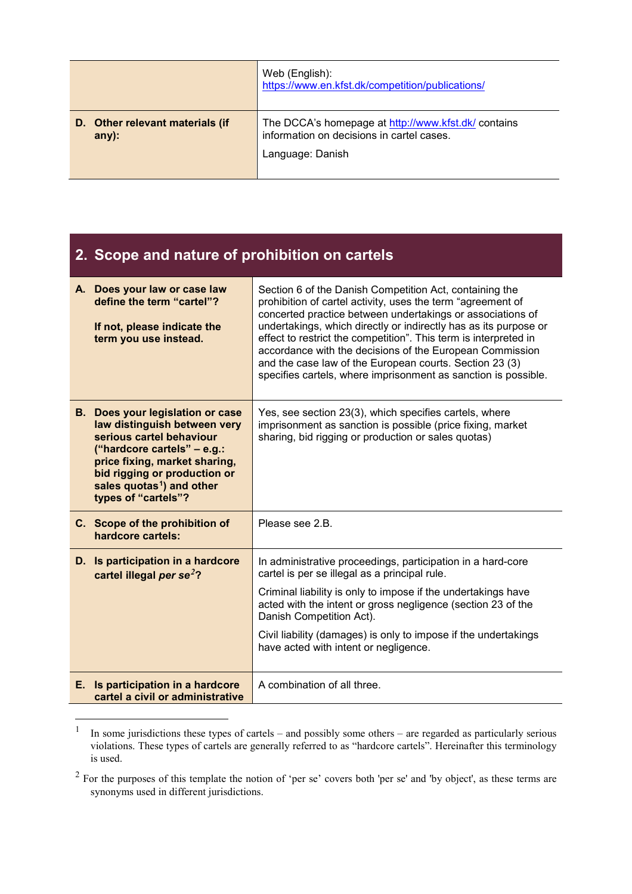|                                             | Web (English):<br>https://www.en.kfst.dk/competition/publications/                               |
|---------------------------------------------|--------------------------------------------------------------------------------------------------|
| D. Other relevant materials (if<br>$any)$ : | The DCCA's homepage at http://www.kfst.dk/ contains<br>information on decisions in cartel cases. |
|                                             | Language: Danish                                                                                 |

| 2. Scope and nature of prohibition on cartels                                                                                                                                                                                                                         |                                                                                                                                                                                                                                                                                                                                                                                                                                                                                                                       |
|-----------------------------------------------------------------------------------------------------------------------------------------------------------------------------------------------------------------------------------------------------------------------|-----------------------------------------------------------------------------------------------------------------------------------------------------------------------------------------------------------------------------------------------------------------------------------------------------------------------------------------------------------------------------------------------------------------------------------------------------------------------------------------------------------------------|
| A. Does your law or case law<br>define the term "cartel"?<br>If not, please indicate the<br>term you use instead.                                                                                                                                                     | Section 6 of the Danish Competition Act, containing the<br>prohibition of cartel activity, uses the term "agreement of<br>concerted practice between undertakings or associations of<br>undertakings, which directly or indirectly has as its purpose or<br>effect to restrict the competition". This term is interpreted in<br>accordance with the decisions of the European Commission<br>and the case law of the European courts. Section 23 (3)<br>specifies cartels, where imprisonment as sanction is possible. |
| <b>B.</b> Does your legislation or case<br>law distinguish between very<br>serious cartel behaviour<br>("hardcore cartels" $-$ e.g.:<br>price fixing, market sharing,<br>bid rigging or production or<br>sales quotas <sup>1</sup> ) and other<br>types of "cartels"? | Yes, see section 23(3), which specifies cartels, where<br>imprisonment as sanction is possible (price fixing, market<br>sharing, bid rigging or production or sales quotas)                                                                                                                                                                                                                                                                                                                                           |
| C. Scope of the prohibition of<br>hardcore cartels:                                                                                                                                                                                                                   | Please see 2.B.                                                                                                                                                                                                                                                                                                                                                                                                                                                                                                       |
| D. Is participation in a hardcore<br>cartel illegal per se <sup>2</sup> ?                                                                                                                                                                                             | In administrative proceedings, participation in a hard-core<br>cartel is per se illegal as a principal rule.<br>Criminal liability is only to impose if the undertakings have<br>acted with the intent or gross negligence (section 23 of the<br>Danish Competition Act).<br>Civil liability (damages) is only to impose if the undertakings<br>have acted with intent or negligence.                                                                                                                                 |
| E. Is participation in a hardcore<br>cartel a civil or administrative                                                                                                                                                                                                 | A combination of all three.                                                                                                                                                                                                                                                                                                                                                                                                                                                                                           |

<sup>&</sup>lt;sup>1</sup> In some jurisdictions these types of cartels – and possibly some others – are regarded as particularly serious violations. These types of cartels are generally referred to as "hardcore cartels". Hereinafter this terminology is used.

 $2^2$  For the purposes of this template the notion of 'per se' covers both 'per se' and 'by object', as these terms are synonyms used in different jurisdictions.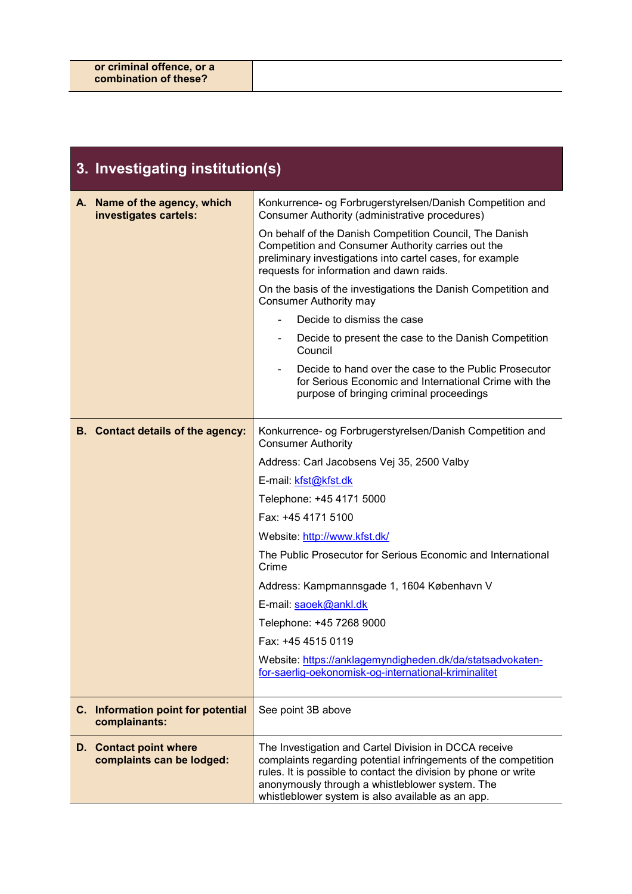|    | 3. Investigating institution(s)                            |                                                                                                                                                                                                                                                                                                     |
|----|------------------------------------------------------------|-----------------------------------------------------------------------------------------------------------------------------------------------------------------------------------------------------------------------------------------------------------------------------------------------------|
| А. | Name of the agency, which<br>investigates cartels:         | Konkurrence- og Forbrugerstyrelsen/Danish Competition and<br>Consumer Authority (administrative procedures)                                                                                                                                                                                         |
|    |                                                            | On behalf of the Danish Competition Council, The Danish<br>Competition and Consumer Authority carries out the<br>preliminary investigations into cartel cases, for example<br>requests for information and dawn raids.                                                                              |
|    |                                                            | On the basis of the investigations the Danish Competition and<br><b>Consumer Authority may</b>                                                                                                                                                                                                      |
|    |                                                            | Decide to dismiss the case                                                                                                                                                                                                                                                                          |
|    |                                                            | Decide to present the case to the Danish Competition<br>$\blacksquare$<br>Council                                                                                                                                                                                                                   |
|    |                                                            | Decide to hand over the case to the Public Prosecutor<br>for Serious Economic and International Crime with the<br>purpose of bringing criminal proceedings                                                                                                                                          |
|    | B. Contact details of the agency:                          | Konkurrence- og Forbrugerstyrelsen/Danish Competition and<br><b>Consumer Authority</b>                                                                                                                                                                                                              |
|    |                                                            | Address: Carl Jacobsens Vej 35, 2500 Valby                                                                                                                                                                                                                                                          |
|    |                                                            | E-mail: kfst@kfst.dk                                                                                                                                                                                                                                                                                |
|    |                                                            | Telephone: +45 4171 5000                                                                                                                                                                                                                                                                            |
|    |                                                            | Fax: +45 4171 5100                                                                                                                                                                                                                                                                                  |
|    |                                                            | Website: http://www.kfst.dk/                                                                                                                                                                                                                                                                        |
|    |                                                            | The Public Prosecutor for Serious Economic and International<br>Crime                                                                                                                                                                                                                               |
|    |                                                            | Address: Kampmannsgade 1, 1604 København V                                                                                                                                                                                                                                                          |
|    |                                                            | E-mail: saoek@ankl.dk                                                                                                                                                                                                                                                                               |
|    |                                                            | Telephone: +45 7268 9000                                                                                                                                                                                                                                                                            |
|    |                                                            | Fax: +45 4515 0119                                                                                                                                                                                                                                                                                  |
|    |                                                            | Website: https://anklagemyndigheden.dk/da/statsadvokaten-<br>for-saerlig-oekonomisk-og-international-kriminalitet                                                                                                                                                                                   |
|    | C. Information point for potential<br>complainants:        | See point 3B above                                                                                                                                                                                                                                                                                  |
|    | <b>D.</b> Contact point where<br>complaints can be lodged: | The Investigation and Cartel Division in DCCA receive<br>complaints regarding potential infringements of the competition<br>rules. It is possible to contact the division by phone or write<br>anonymously through a whistleblower system. The<br>whistleblower system is also available as an app. |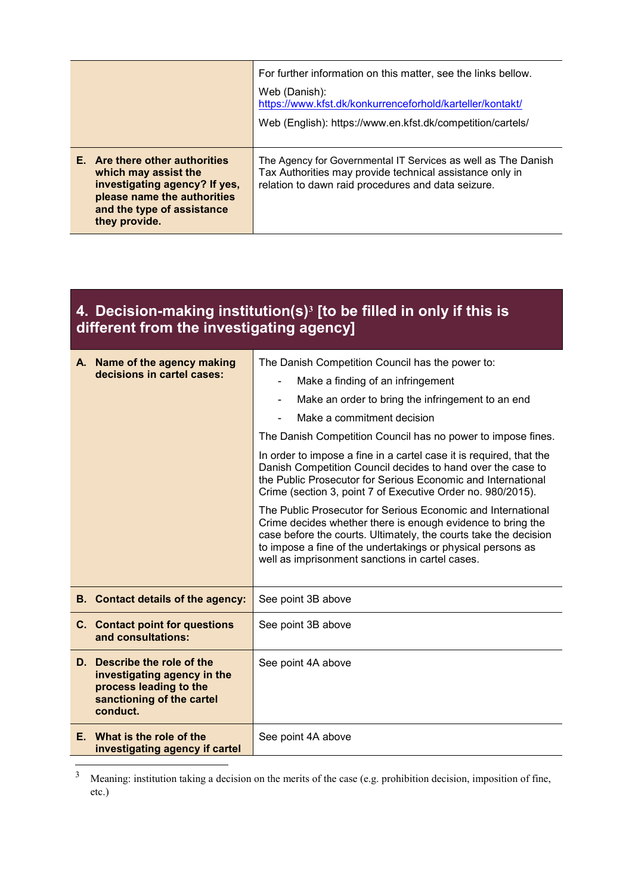|                                                                                                                                                                       | For further information on this matter, see the links bellow.<br>Web (Danish):<br>https://www.kfst.dk/konkurrenceforhold/karteller/kontakt/<br>Web (English): https://www.en.kfst.dk/competition/cartels/ |
|-----------------------------------------------------------------------------------------------------------------------------------------------------------------------|-----------------------------------------------------------------------------------------------------------------------------------------------------------------------------------------------------------|
| E. Are there other authorities<br>which may assist the<br>investigating agency? If yes,<br>please name the authorities<br>and the type of assistance<br>they provide. | The Agency for Governmental IT Services as well as The Danish<br>Tax Authorities may provide technical assistance only in<br>relation to dawn raid procedures and data seizure.                           |

#### **4. Decision-making institution(s)<sup>3</sup> [to be filled in only if this is different from the investigating agency]**

| A. Name of the agency making                                                                                                  | The Danish Competition Council has the power to:                                                                                                                                                                                                                                                                  |
|-------------------------------------------------------------------------------------------------------------------------------|-------------------------------------------------------------------------------------------------------------------------------------------------------------------------------------------------------------------------------------------------------------------------------------------------------------------|
| decisions in cartel cases:                                                                                                    | Make a finding of an infringement<br>$\overline{\phantom{0}}$                                                                                                                                                                                                                                                     |
|                                                                                                                               | Make an order to bring the infringement to an end<br>Ξ.                                                                                                                                                                                                                                                           |
|                                                                                                                               | Make a commitment decision                                                                                                                                                                                                                                                                                        |
|                                                                                                                               | The Danish Competition Council has no power to impose fines.                                                                                                                                                                                                                                                      |
|                                                                                                                               | In order to impose a fine in a cartel case it is required, that the<br>Danish Competition Council decides to hand over the case to<br>the Public Prosecutor for Serious Economic and International<br>Crime (section 3, point 7 of Executive Order no. 980/2015).                                                 |
|                                                                                                                               | The Public Prosecutor for Serious Economic and International<br>Crime decides whether there is enough evidence to bring the<br>case before the courts. Ultimately, the courts take the decision<br>to impose a fine of the undertakings or physical persons as<br>well as imprisonment sanctions in cartel cases. |
| <b>B.</b> Contact details of the agency:                                                                                      | See point 3B above                                                                                                                                                                                                                                                                                                |
| C. Contact point for questions<br>and consultations:                                                                          | See point 3B above                                                                                                                                                                                                                                                                                                |
| D. Describe the role of the<br>investigating agency in the<br>process leading to the<br>sanctioning of the cartel<br>conduct. | See point 4A above                                                                                                                                                                                                                                                                                                |
| E. What is the role of the<br>investigating agency if cartel                                                                  | See point 4A above                                                                                                                                                                                                                                                                                                |

<sup>&</sup>lt;sup>3</sup> Meaning: institution taking a decision on the merits of the case (e.g. prohibition decision, imposition of fine, etc.)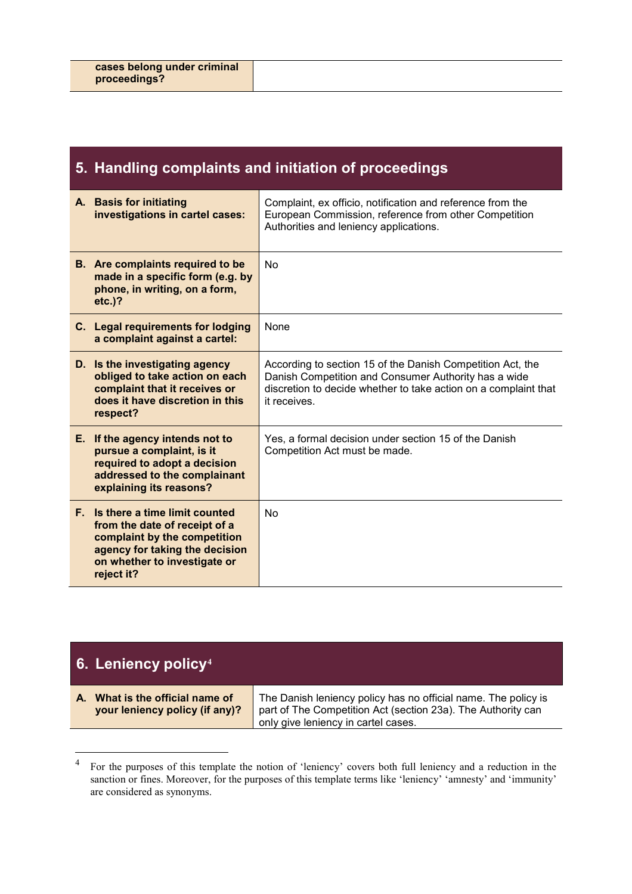#### **5. Handling complaints and initiation of proceedings**

| A. Basis for initiating<br>investigations in cartel cases:                                                                                                                        | Complaint, ex officio, notification and reference from the<br>European Commission, reference from other Competition<br>Authorities and leniency applications.                                         |
|-----------------------------------------------------------------------------------------------------------------------------------------------------------------------------------|-------------------------------------------------------------------------------------------------------------------------------------------------------------------------------------------------------|
| <b>B.</b> Are complaints required to be<br>made in a specific form (e.g. by<br>phone, in writing, on a form,<br>$etc.$ )?                                                         | No                                                                                                                                                                                                    |
| C. Legal requirements for lodging<br>a complaint against a cartel:                                                                                                                | None                                                                                                                                                                                                  |
| D. Is the investigating agency<br>obliged to take action on each<br>complaint that it receives or<br>does it have discretion in this<br>respect?                                  | According to section 15 of the Danish Competition Act, the<br>Danish Competition and Consumer Authority has a wide<br>discretion to decide whether to take action on a complaint that<br>it receives. |
| E. If the agency intends not to<br>pursue a complaint, is it<br>required to adopt a decision<br>addressed to the complainant<br>explaining its reasons?                           | Yes, a formal decision under section 15 of the Danish<br>Competition Act must be made.                                                                                                                |
| F. Is there a time limit counted<br>from the date of receipt of a<br>complaint by the competition<br>agency for taking the decision<br>on whether to investigate or<br>reject it? | No                                                                                                                                                                                                    |

#### **6. Leniency policy<sup>4</sup>**

**A. What is the official name of your leniency policy (if any)?** The Danish leniency policy has no official name. The policy is part of The Competition Act (section 23a). The Authority can only give leniency in cartel cases.

<sup>4</sup> For the purposes of this template the notion of 'leniency' covers both full leniency and a reduction in the sanction or fines. Moreover, for the purposes of this template terms like 'leniency' 'amnesty' and 'immunity' are considered as synonyms.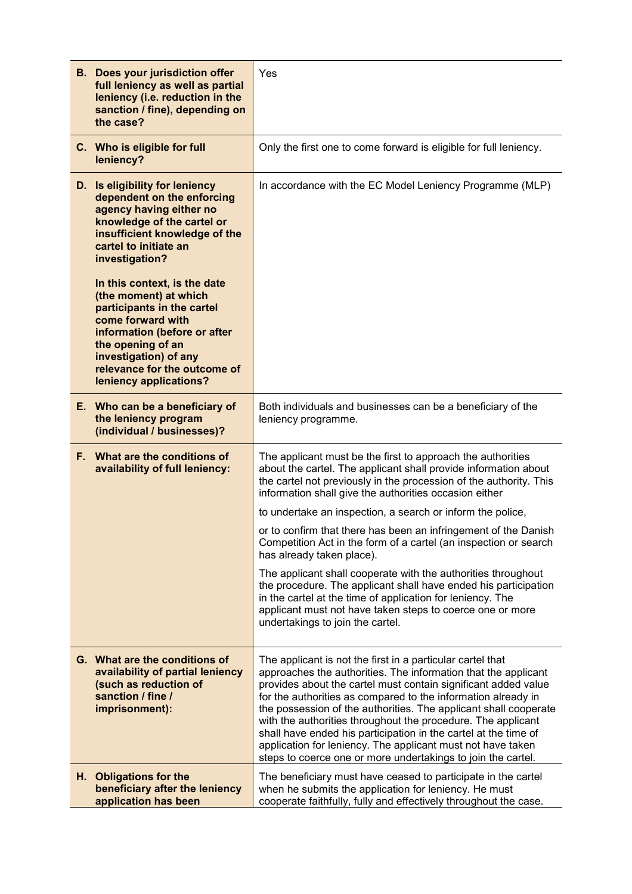| <b>B.</b> Does your jurisdiction offer<br>full leniency as well as partial<br>leniency (i.e. reduction in the<br>sanction / fine), depending on<br>the case?                                                                                     | Yes                                                                                                                                                                                                                                                                                                                                                                                                                                                                                                                                                                                                   |
|--------------------------------------------------------------------------------------------------------------------------------------------------------------------------------------------------------------------------------------------------|-------------------------------------------------------------------------------------------------------------------------------------------------------------------------------------------------------------------------------------------------------------------------------------------------------------------------------------------------------------------------------------------------------------------------------------------------------------------------------------------------------------------------------------------------------------------------------------------------------|
| C. Who is eligible for full<br>leniency?                                                                                                                                                                                                         | Only the first one to come forward is eligible for full leniency.                                                                                                                                                                                                                                                                                                                                                                                                                                                                                                                                     |
| D. Is eligibility for leniency<br>dependent on the enforcing<br>agency having either no<br>knowledge of the cartel or<br>insufficient knowledge of the<br>cartel to initiate an<br>investigation?                                                | In accordance with the EC Model Leniency Programme (MLP)                                                                                                                                                                                                                                                                                                                                                                                                                                                                                                                                              |
| In this context, is the date<br>(the moment) at which<br>participants in the cartel<br>come forward with<br>information (before or after<br>the opening of an<br>investigation) of any<br>relevance for the outcome of<br>leniency applications? |                                                                                                                                                                                                                                                                                                                                                                                                                                                                                                                                                                                                       |
| E. Who can be a beneficiary of<br>the leniency program<br>(individual / businesses)?                                                                                                                                                             | Both individuals and businesses can be a beneficiary of the<br>leniency programme.                                                                                                                                                                                                                                                                                                                                                                                                                                                                                                                    |
| F. What are the conditions of<br>availability of full leniency:                                                                                                                                                                                  | The applicant must be the first to approach the authorities<br>about the cartel. The applicant shall provide information about<br>the cartel not previously in the procession of the authority. This<br>information shall give the authorities occasion either                                                                                                                                                                                                                                                                                                                                        |
|                                                                                                                                                                                                                                                  | to undertake an inspection, a search or inform the police,                                                                                                                                                                                                                                                                                                                                                                                                                                                                                                                                            |
|                                                                                                                                                                                                                                                  | or to confirm that there has been an infringement of the Danish<br>Competition Act in the form of a cartel (an inspection or search<br>has already taken place).                                                                                                                                                                                                                                                                                                                                                                                                                                      |
|                                                                                                                                                                                                                                                  | The applicant shall cooperate with the authorities throughout<br>the procedure. The applicant shall have ended his participation<br>in the cartel at the time of application for leniency. The<br>applicant must not have taken steps to coerce one or more<br>undertakings to join the cartel.                                                                                                                                                                                                                                                                                                       |
| G. What are the conditions of<br>availability of partial leniency<br>(such as reduction of<br>sanction / fine /<br>imprisonment):                                                                                                                | The applicant is not the first in a particular cartel that<br>approaches the authorities. The information that the applicant<br>provides about the cartel must contain significant added value<br>for the authorities as compared to the information already in<br>the possession of the authorities. The applicant shall cooperate<br>with the authorities throughout the procedure. The applicant<br>shall have ended his participation in the cartel at the time of<br>application for leniency. The applicant must not have taken<br>steps to coerce one or more undertakings to join the cartel. |
| H. Obligations for the<br>beneficiary after the leniency<br>application has been                                                                                                                                                                 | The beneficiary must have ceased to participate in the cartel<br>when he submits the application for leniency. He must<br>cooperate faithfully, fully and effectively throughout the case.                                                                                                                                                                                                                                                                                                                                                                                                            |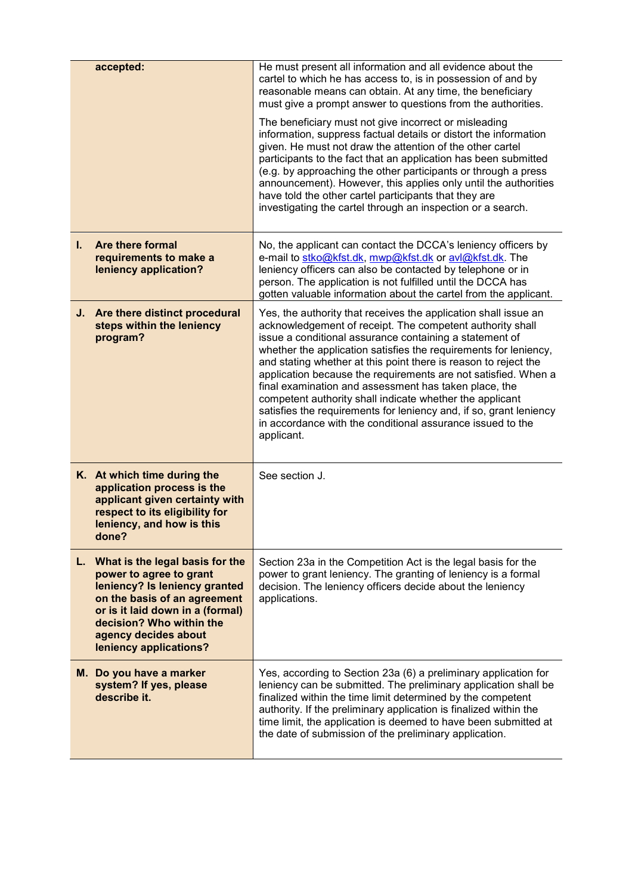| accepted:                                                                                                                                                                                                                                        | He must present all information and all evidence about the<br>cartel to which he has access to, is in possession of and by<br>reasonable means can obtain. At any time, the beneficiary<br>must give a prompt answer to questions from the authorities.<br>The beneficiary must not give incorrect or misleading<br>information, suppress factual details or distort the information<br>given. He must not draw the attention of the other cartel<br>participants to the fact that an application has been submitted<br>(e.g. by approaching the other participants or through a press<br>announcement). However, this applies only until the authorities<br>have told the other cartel participants that they are<br>investigating the cartel through an inspection or a search. |
|--------------------------------------------------------------------------------------------------------------------------------------------------------------------------------------------------------------------------------------------------|-----------------------------------------------------------------------------------------------------------------------------------------------------------------------------------------------------------------------------------------------------------------------------------------------------------------------------------------------------------------------------------------------------------------------------------------------------------------------------------------------------------------------------------------------------------------------------------------------------------------------------------------------------------------------------------------------------------------------------------------------------------------------------------|
| <b>Are there formal</b><br>L.<br>requirements to make a<br>leniency application?                                                                                                                                                                 | No, the applicant can contact the DCCA's leniency officers by<br>e-mail to stko@kfst.dk, mwp@kfst.dk or avl@kfst.dk. The<br>leniency officers can also be contacted by telephone or in<br>person. The application is not fulfilled until the DCCA has<br>gotten valuable information about the cartel from the applicant.                                                                                                                                                                                                                                                                                                                                                                                                                                                         |
| J. Are there distinct procedural<br>steps within the leniency<br>program?                                                                                                                                                                        | Yes, the authority that receives the application shall issue an<br>acknowledgement of receipt. The competent authority shall<br>issue a conditional assurance containing a statement of<br>whether the application satisfies the requirements for leniency,<br>and stating whether at this point there is reason to reject the<br>application because the requirements are not satisfied. When a<br>final examination and assessment has taken place, the<br>competent authority shall indicate whether the applicant<br>satisfies the requirements for leniency and, if so, grant leniency<br>in accordance with the conditional assurance issued to the<br>applicant.                                                                                                           |
| K. At which time during the<br>application process is the<br>applicant given certainty with<br>respect to its eligibility for<br>leniency, and how is this<br>done?                                                                              | See section J.                                                                                                                                                                                                                                                                                                                                                                                                                                                                                                                                                                                                                                                                                                                                                                    |
| L. What is the legal basis for the<br>power to agree to grant<br>leniency? Is leniency granted<br>on the basis of an agreement<br>or is it laid down in a (formal)<br>decision? Who within the<br>agency decides about<br>leniency applications? | Section 23a in the Competition Act is the legal basis for the<br>power to grant leniency. The granting of leniency is a formal<br>decision. The leniency officers decide about the leniency<br>applications.                                                                                                                                                                                                                                                                                                                                                                                                                                                                                                                                                                      |
| M. Do you have a marker<br>system? If yes, please<br>describe it.                                                                                                                                                                                | Yes, according to Section 23a (6) a preliminary application for<br>leniency can be submitted. The preliminary application shall be<br>finalized within the time limit determined by the competent<br>authority. If the preliminary application is finalized within the<br>time limit, the application is deemed to have been submitted at<br>the date of submission of the preliminary application.                                                                                                                                                                                                                                                                                                                                                                               |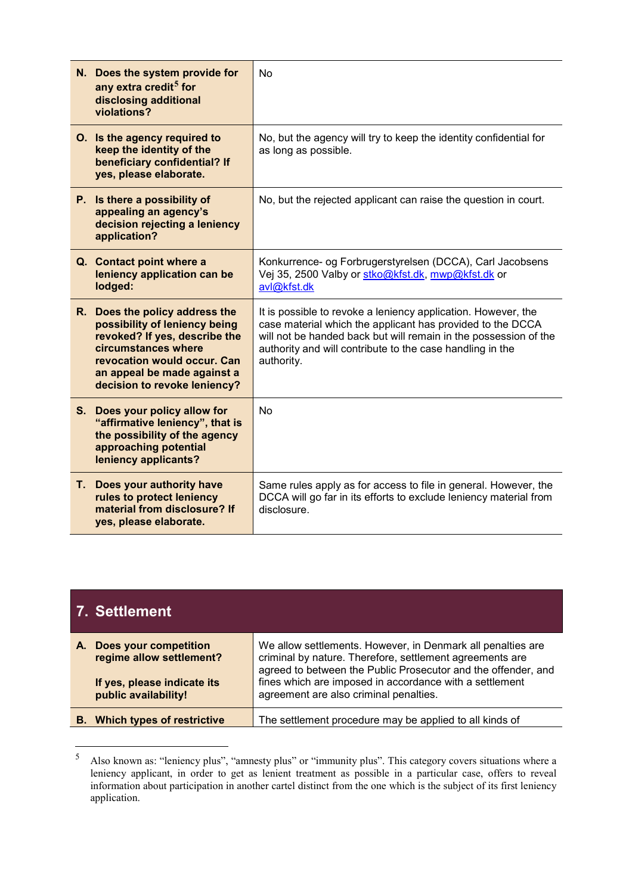|    | N. Does the system provide for<br>any extra credit <sup>5</sup> for<br>disclosing additional<br>violations?                                                                                                           | <b>No</b>                                                                                                                                                                                                                                                                  |
|----|-----------------------------------------------------------------------------------------------------------------------------------------------------------------------------------------------------------------------|----------------------------------------------------------------------------------------------------------------------------------------------------------------------------------------------------------------------------------------------------------------------------|
|    | O. Is the agency required to<br>keep the identity of the<br>beneficiary confidential? If<br>yes, please elaborate.                                                                                                    | No, but the agency will try to keep the identity confidential for<br>as long as possible.                                                                                                                                                                                  |
|    | P. Is there a possibility of<br>appealing an agency's<br>decision rejecting a leniency<br>application?                                                                                                                | No, but the rejected applicant can raise the question in court.                                                                                                                                                                                                            |
|    | Q. Contact point where a<br>leniency application can be<br>lodged:                                                                                                                                                    | Konkurrence- og Forbrugerstyrelsen (DCCA), Carl Jacobsens<br>Vej 35, 2500 Valby or stko@kfst.dk, mwp@kfst.dk or<br>avl@kfst.dk                                                                                                                                             |
|    | R. Does the policy address the<br>possibility of leniency being<br>revoked? If yes, describe the<br>circumstances where<br>revocation would occur. Can<br>an appeal be made against a<br>decision to revoke leniency? | It is possible to revoke a leniency application. However, the<br>case material which the applicant has provided to the DCCA<br>will not be handed back but will remain in the possession of the<br>authority and will contribute to the case handling in the<br>authority. |
| S. | Does your policy allow for<br>"affirmative leniency", that is<br>the possibility of the agency<br>approaching potential<br>leniency applicants?                                                                       | No                                                                                                                                                                                                                                                                         |
|    | T. Does your authority have<br>rules to protect leniency<br>material from disclosure? If<br>yes, please elaborate.                                                                                                    | Same rules apply as for access to file in general. However, the<br>DCCA will go far in its efforts to exclude leniency material from<br>disclosure.                                                                                                                        |

|    | 7. Settlement                                                                    |                                                                                                                                                                                                                                                     |
|----|----------------------------------------------------------------------------------|-----------------------------------------------------------------------------------------------------------------------------------------------------------------------------------------------------------------------------------------------------|
| А. | Does your competition<br>regime allow settlement?<br>If yes, please indicate its | We allow settlements. However, in Denmark all penalties are<br>criminal by nature. Therefore, settlement agreements are<br>agreed to between the Public Prosecutor and the offender, and<br>fines which are imposed in accordance with a settlement |
| В. | public availability!<br><b>Which types of restrictive</b>                        | agreement are also criminal penalties.<br>The settlement procedure may be applied to all kinds of                                                                                                                                                   |

<sup>5</sup> Also known as: "leniency plus", "amnesty plus" or "immunity plus". This category covers situations where a leniency applicant, in order to get as lenient treatment as possible in a particular case, offers to reveal information about participation in another cartel distinct from the one which is the subject of its first leniency application.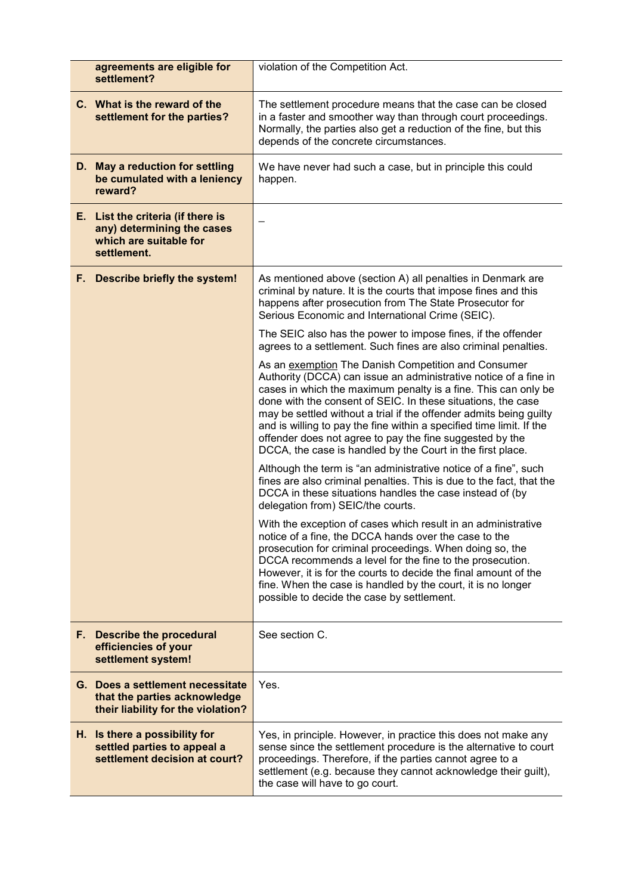| agreements are eligible for<br>settlement?                                                               | violation of the Competition Act.                                                                                                                                                                                                                                                                                                                                                                                                                                                                                                 |
|----------------------------------------------------------------------------------------------------------|-----------------------------------------------------------------------------------------------------------------------------------------------------------------------------------------------------------------------------------------------------------------------------------------------------------------------------------------------------------------------------------------------------------------------------------------------------------------------------------------------------------------------------------|
| C. What is the reward of the<br>settlement for the parties?                                              | The settlement procedure means that the case can be closed<br>in a faster and smoother way than through court proceedings.<br>Normally, the parties also get a reduction of the fine, but this<br>depends of the concrete circumstances.                                                                                                                                                                                                                                                                                          |
| D. May a reduction for settling<br>be cumulated with a leniency<br>reward?                               | We have never had such a case, but in principle this could<br>happen.                                                                                                                                                                                                                                                                                                                                                                                                                                                             |
| E. List the criteria (if there is<br>any) determining the cases<br>which are suitable for<br>settlement. |                                                                                                                                                                                                                                                                                                                                                                                                                                                                                                                                   |
| F. Describe briefly the system!                                                                          | As mentioned above (section A) all penalties in Denmark are<br>criminal by nature. It is the courts that impose fines and this<br>happens after prosecution from The State Prosecutor for<br>Serious Economic and International Crime (SEIC).                                                                                                                                                                                                                                                                                     |
|                                                                                                          | The SEIC also has the power to impose fines, if the offender<br>agrees to a settlement. Such fines are also criminal penalties.                                                                                                                                                                                                                                                                                                                                                                                                   |
|                                                                                                          | As an exemption The Danish Competition and Consumer<br>Authority (DCCA) can issue an administrative notice of a fine in<br>cases in which the maximum penalty is a fine. This can only be<br>done with the consent of SEIC. In these situations, the case<br>may be settled without a trial if the offender admits being guilty<br>and is willing to pay the fine within a specified time limit. If the<br>offender does not agree to pay the fine suggested by the<br>DCCA, the case is handled by the Court in the first place. |
|                                                                                                          | Although the term is "an administrative notice of a fine", such<br>fines are also criminal penalties. This is due to the fact, that the<br>DCCA in these situations handles the case instead of (by<br>delegation from) SEIC/the courts.                                                                                                                                                                                                                                                                                          |
|                                                                                                          | With the exception of cases which result in an administrative<br>notice of a fine, the DCCA hands over the case to the<br>prosecution for criminal proceedings. When doing so, the<br>DCCA recommends a level for the fine to the prosecution.<br>However, it is for the courts to decide the final amount of the<br>fine. When the case is handled by the court, it is no longer<br>possible to decide the case by settlement.                                                                                                   |
| F. Describe the procedural<br>efficiencies of your<br>settlement system!                                 | See section C.                                                                                                                                                                                                                                                                                                                                                                                                                                                                                                                    |
| G. Does a settlement necessitate<br>that the parties acknowledge<br>their liability for the violation?   | Yes.                                                                                                                                                                                                                                                                                                                                                                                                                                                                                                                              |
| H. Is there a possibility for<br>settled parties to appeal a<br>settlement decision at court?            | Yes, in principle. However, in practice this does not make any<br>sense since the settlement procedure is the alternative to court<br>proceedings. Therefore, if the parties cannot agree to a<br>settlement (e.g. because they cannot acknowledge their guilt),<br>the case will have to go court.                                                                                                                                                                                                                               |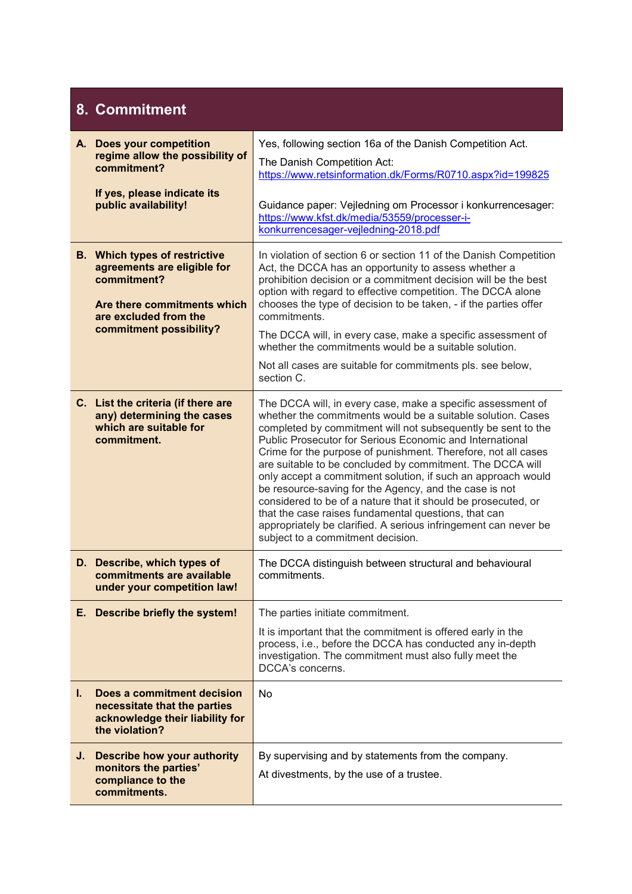# **8. Commitment**

|    | A. Does your competition<br>regime allow the possibility of<br>commitment?<br>If yes, please indicate its                                                             | Yes, following section 16a of the Danish Competition Act.<br>The Danish Competition Act:<br>https://www.retsinformation.dk/Forms/R0710.aspx?id=199825                                                                                                                                                                                                                                                                                                                                                                                                                                                                                                                                                                                           |
|----|-----------------------------------------------------------------------------------------------------------------------------------------------------------------------|-------------------------------------------------------------------------------------------------------------------------------------------------------------------------------------------------------------------------------------------------------------------------------------------------------------------------------------------------------------------------------------------------------------------------------------------------------------------------------------------------------------------------------------------------------------------------------------------------------------------------------------------------------------------------------------------------------------------------------------------------|
|    | public availability!                                                                                                                                                  | Guidance paper: Vejledning om Processor i konkurrencesager:<br>https://www.kfst.dk/media/53559/processer-i-<br>konkurrencesager-vejledning-2018.pdf                                                                                                                                                                                                                                                                                                                                                                                                                                                                                                                                                                                             |
|    | <b>B.</b> Which types of restrictive<br>agreements are eligible for<br>commitment?<br>Are there commitments which<br>are excluded from the<br>commitment possibility? | In violation of section 6 or section 11 of the Danish Competition<br>Act, the DCCA has an opportunity to assess whether a<br>prohibition decision or a commitment decision will be the best<br>option with regard to effective competition. The DCCA alone<br>chooses the type of decision to be taken, - if the parties offer<br>commitments.                                                                                                                                                                                                                                                                                                                                                                                                  |
|    |                                                                                                                                                                       | The DCCA will, in every case, make a specific assessment of<br>whether the commitments would be a suitable solution.                                                                                                                                                                                                                                                                                                                                                                                                                                                                                                                                                                                                                            |
|    |                                                                                                                                                                       | Not all cases are suitable for commitments pls. see below,<br>section C.                                                                                                                                                                                                                                                                                                                                                                                                                                                                                                                                                                                                                                                                        |
|    | C. List the criteria (if there are<br>any) determining the cases<br>which are suitable for<br>commitment.                                                             | The DCCA will, in every case, make a specific assessment of<br>whether the commitments would be a suitable solution. Cases<br>completed by commitment will not subsequently be sent to the<br>Public Prosecutor for Serious Economic and International<br>Crime for the purpose of punishment. Therefore, not all cases<br>are suitable to be concluded by commitment. The DCCA will<br>only accept a commitment solution, if such an approach would<br>be resource-saving for the Agency, and the case is not<br>considered to be of a nature that it should be prosecuted, or<br>that the case raises fundamental questions, that can<br>appropriately be clarified. A serious infringement can never be<br>subject to a commitment decision. |
|    | D. Describe, which types of<br>commitments are available<br>under your competition law!                                                                               | The DCCA distinguish between structural and behavioural<br>commitments.                                                                                                                                                                                                                                                                                                                                                                                                                                                                                                                                                                                                                                                                         |
|    | E. Describe briefly the system!                                                                                                                                       | The parties initiate commitment.                                                                                                                                                                                                                                                                                                                                                                                                                                                                                                                                                                                                                                                                                                                |
|    |                                                                                                                                                                       | It is important that the commitment is offered early in the<br>process, i.e., before the DCCA has conducted any in-depth<br>investigation. The commitment must also fully meet the<br>DCCA's concerns.                                                                                                                                                                                                                                                                                                                                                                                                                                                                                                                                          |
| L. | Does a commitment decision<br>necessitate that the parties<br>acknowledge their liability for<br>the violation?                                                       | <b>No</b>                                                                                                                                                                                                                                                                                                                                                                                                                                                                                                                                                                                                                                                                                                                                       |
|    | J. Describe how your authority<br>monitors the parties'<br>compliance to the<br>commitments.                                                                          | By supervising and by statements from the company.<br>At divestments, by the use of a trustee.                                                                                                                                                                                                                                                                                                                                                                                                                                                                                                                                                                                                                                                  |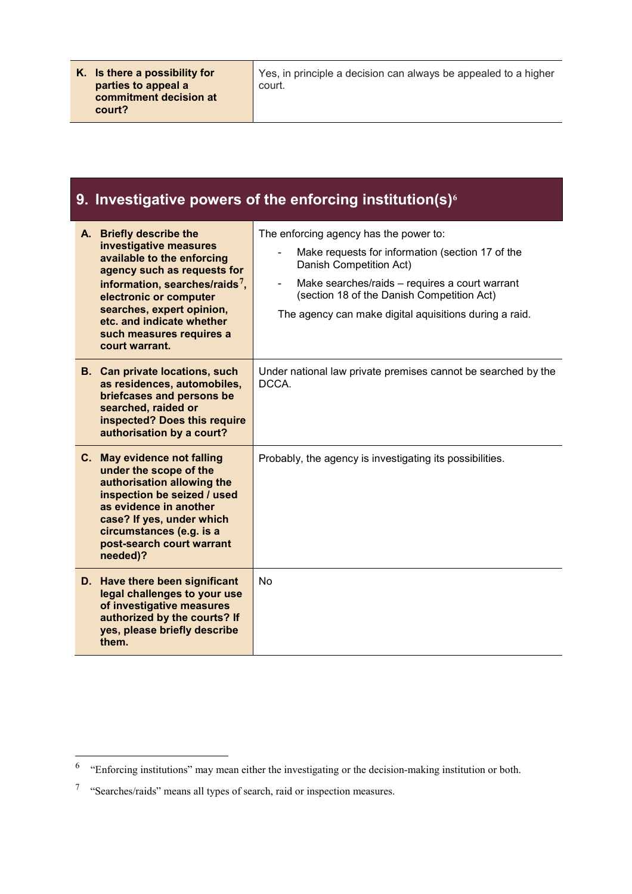Yes, in principle a decision can always be appealed to a higher court.

### **9. Investigative powers of the enforcing institution(s)<sup>6</sup>**

|    | A. Briefly describe the<br>investigative measures<br>available to the enforcing<br>agency such as requests for<br>information, searches/raids <sup>7</sup> ,<br>electronic or computer<br>searches, expert opinion,<br>etc. and indicate whether<br>such measures requires a<br>court warrant. | The enforcing agency has the power to:<br>Make requests for information (section 17 of the<br>Danish Competition Act)<br>Make searches/raids - requires a court warrant<br>(section 18 of the Danish Competition Act)<br>The agency can make digital aquisitions during a raid. |
|----|------------------------------------------------------------------------------------------------------------------------------------------------------------------------------------------------------------------------------------------------------------------------------------------------|---------------------------------------------------------------------------------------------------------------------------------------------------------------------------------------------------------------------------------------------------------------------------------|
|    | <b>B.</b> Can private locations, such<br>as residences, automobiles,<br>briefcases and persons be<br>searched, raided or<br>inspected? Does this require<br>authorisation by a court?                                                                                                          | Under national law private premises cannot be searched by the<br>DCCA.                                                                                                                                                                                                          |
|    | C. May evidence not falling<br>under the scope of the<br>authorisation allowing the<br>inspection be seized / used<br>as evidence in another<br>case? If yes, under which<br>circumstances (e.g. is a<br>post-search court warrant<br>needed)?                                                 | Probably, the agency is investigating its possibilities.                                                                                                                                                                                                                        |
| D. | Have there been significant<br>legal challenges to your use<br>of investigative measures<br>authorized by the courts? If<br>yes, please briefly describe<br>them.                                                                                                                              | <b>No</b>                                                                                                                                                                                                                                                                       |

<sup>6</sup> "Enforcing institutions" may mean either the investigating or the decision-making institution or both.

<sup>7</sup> "Searches/raids" means all types of search, raid or inspection measures.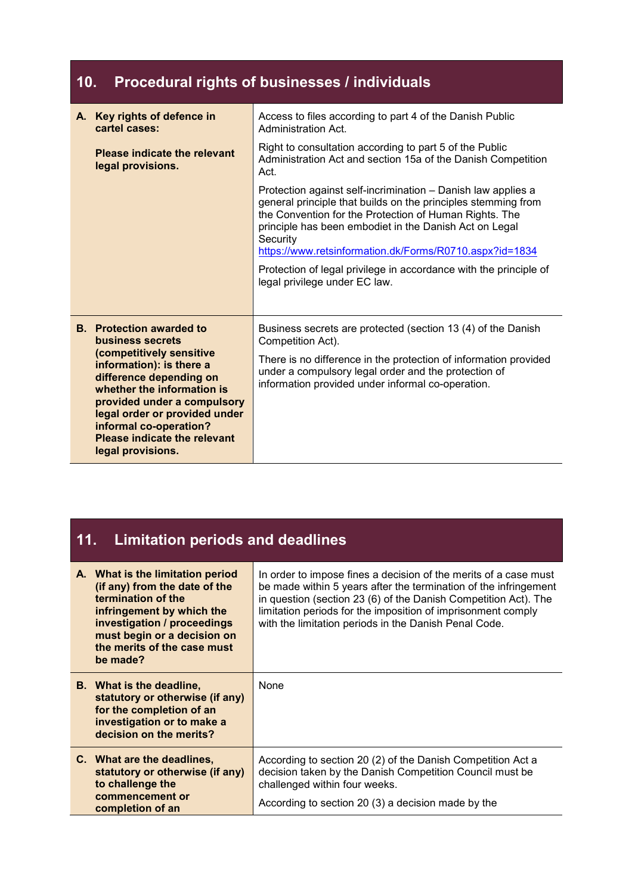## **10. Procedural rights of businesses / individuals**

| Key rights of defence in<br>A.<br>cartel cases:                                                                                                                                                                                                              | Access to files according to part 4 of the Danish Public<br>Administration Act.                                                                                                                                                                                                                                          |
|--------------------------------------------------------------------------------------------------------------------------------------------------------------------------------------------------------------------------------------------------------------|--------------------------------------------------------------------------------------------------------------------------------------------------------------------------------------------------------------------------------------------------------------------------------------------------------------------------|
| Please indicate the relevant<br>legal provisions.                                                                                                                                                                                                            | Right to consultation according to part 5 of the Public<br>Administration Act and section 15a of the Danish Competition<br>Act.                                                                                                                                                                                          |
|                                                                                                                                                                                                                                                              | Protection against self-incrimination - Danish law applies a<br>general principle that builds on the principles stemming from<br>the Convention for the Protection of Human Rights. The<br>principle has been embodiet in the Danish Act on Legal<br>Security<br>https://www.retsinformation.dk/Forms/R0710.aspx?id=1834 |
|                                                                                                                                                                                                                                                              | Protection of legal privilege in accordance with the principle of<br>legal privilege under EC law.                                                                                                                                                                                                                       |
| <b>B.</b> Protection awarded to<br>business secrets                                                                                                                                                                                                          | Business secrets are protected (section 13 (4) of the Danish<br>Competition Act).                                                                                                                                                                                                                                        |
| (competitively sensitive<br>information): is there a<br>difference depending on<br>whether the information is<br>provided under a compulsory<br>legal order or provided under<br>informal co-operation?<br>Please indicate the relevant<br>legal provisions. | There is no difference in the protection of information provided<br>under a compulsory legal order and the protection of<br>information provided under informal co-operation.                                                                                                                                            |

## **11. Limitation periods and deadlines**

| A. What is the limitation period<br>(if any) from the date of the<br>termination of the<br>infringement by which the<br>investigation / proceedings<br>must begin or a decision on<br>the merits of the case must<br>be made? | In order to impose fines a decision of the merits of a case must<br>be made within 5 years after the termination of the infringement<br>in question (section 23 (6) of the Danish Competition Act). The<br>limitation periods for the imposition of imprisonment comply<br>with the limitation periods in the Danish Penal Code. |
|-------------------------------------------------------------------------------------------------------------------------------------------------------------------------------------------------------------------------------|----------------------------------------------------------------------------------------------------------------------------------------------------------------------------------------------------------------------------------------------------------------------------------------------------------------------------------|
| <b>B.</b> What is the deadline,<br>statutory or otherwise (if any)<br>for the completion of an<br>investigation or to make a<br>decision on the merits?                                                                       | None                                                                                                                                                                                                                                                                                                                             |
| C. What are the deadlines,<br>statutory or otherwise (if any)<br>to challenge the<br>commencement or<br>completion of an                                                                                                      | According to section 20 (2) of the Danish Competition Act a<br>decision taken by the Danish Competition Council must be<br>challenged within four weeks.<br>According to section 20 (3) a decision made by the                                                                                                                   |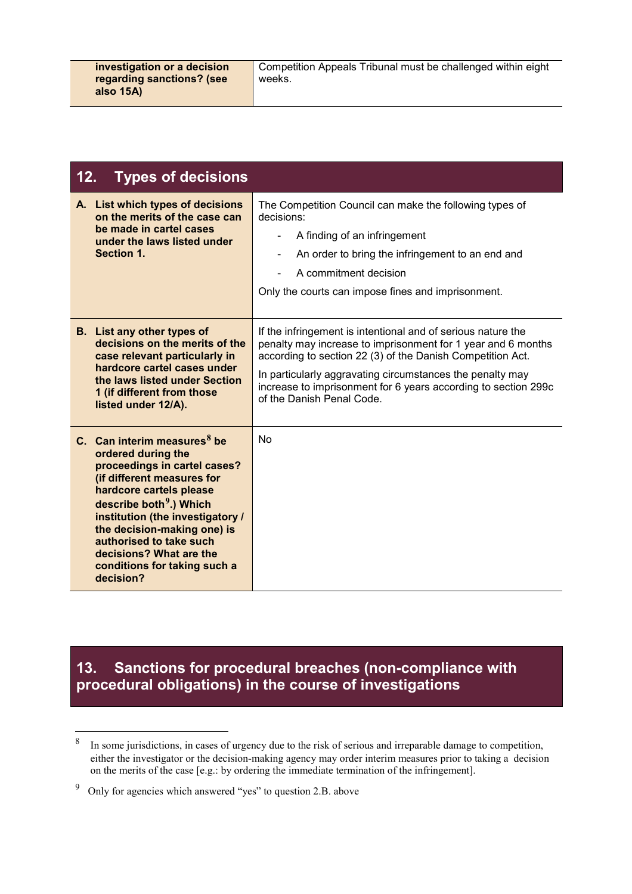Competition Appeals Tribunal must be challenged within eight weeks.

| 12.<br><b>Types of decisions</b>                                                                                                                                                                                                                                                                                                                           |                                                                                                                                                                                                                                                                                                                                                        |
|------------------------------------------------------------------------------------------------------------------------------------------------------------------------------------------------------------------------------------------------------------------------------------------------------------------------------------------------------------|--------------------------------------------------------------------------------------------------------------------------------------------------------------------------------------------------------------------------------------------------------------------------------------------------------------------------------------------------------|
| A. List which types of decisions<br>on the merits of the case can<br>be made in cartel cases<br>under the laws listed under<br>Section 1.                                                                                                                                                                                                                  | The Competition Council can make the following types of<br>decisions:<br>A finding of an infringement<br>An order to bring the infringement to an end and<br>-<br>A commitment decision<br>Only the courts can impose fines and imprisonment.                                                                                                          |
| <b>B.</b> List any other types of<br>decisions on the merits of the<br>case relevant particularly in<br>hardcore cartel cases under<br>the laws listed under Section<br>1 (if different from those<br>listed under 12/A).                                                                                                                                  | If the infringement is intentional and of serious nature the<br>penalty may increase to imprisonment for 1 year and 6 months<br>according to section 22 (3) of the Danish Competition Act.<br>In particularly aggravating circumstances the penalty may<br>increase to imprisonment for 6 years according to section 299c<br>of the Danish Penal Code. |
| C. Can interim measures $8$ be<br>ordered during the<br>proceedings in cartel cases?<br>(if different measures for<br>hardcore cartels please<br>describe both <sup>9</sup> .) Which<br>institution (the investigatory /<br>the decision-making one) is<br>authorised to take such<br>decisions? What are the<br>conditions for taking such a<br>decision? | <b>No</b>                                                                                                                                                                                                                                                                                                                                              |

#### **13. Sanctions for procedural breaches (non-compliance with procedural obligations) in the course of investigations**

<sup>8</sup> In some jurisdictions, in cases of urgency due to the risk of serious and irreparable damage to competition, either the investigator or the decision-making agency may order interim measures prior to taking a decision on the merits of the case [e.g.: by ordering the immediate termination of the infringement].

<sup>9</sup> Only for agencies which answered "yes" to question 2.B. above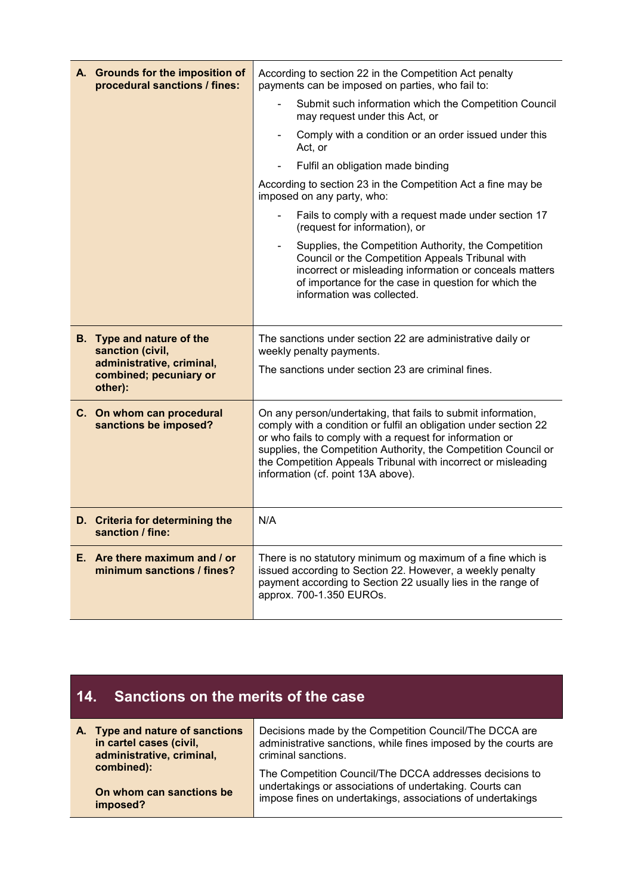| A. Grounds for the imposition of<br>procedural sanctions / fines: | According to section 22 in the Competition Act penalty<br>payments can be imposed on parties, who fail to:                                                                                                                                                                                                                                                             |
|-------------------------------------------------------------------|------------------------------------------------------------------------------------------------------------------------------------------------------------------------------------------------------------------------------------------------------------------------------------------------------------------------------------------------------------------------|
|                                                                   | Submit such information which the Competition Council<br>$\blacksquare$<br>may request under this Act, or                                                                                                                                                                                                                                                              |
|                                                                   | Comply with a condition or an order issued under this<br>Act, or                                                                                                                                                                                                                                                                                                       |
|                                                                   | Fulfil an obligation made binding                                                                                                                                                                                                                                                                                                                                      |
|                                                                   | According to section 23 in the Competition Act a fine may be<br>imposed on any party, who:                                                                                                                                                                                                                                                                             |
|                                                                   | Fails to comply with a request made under section 17<br>(request for information), or                                                                                                                                                                                                                                                                                  |
|                                                                   | Supplies, the Competition Authority, the Competition<br>Council or the Competition Appeals Tribunal with<br>incorrect or misleading information or conceals matters<br>of importance for the case in question for which the<br>information was collected.                                                                                                              |
| B. Type and nature of the<br>sanction (civil,                     | The sanctions under section 22 are administrative daily or<br>weekly penalty payments.                                                                                                                                                                                                                                                                                 |
| administrative, criminal,<br>combined; pecuniary or<br>other):    | The sanctions under section 23 are criminal fines.                                                                                                                                                                                                                                                                                                                     |
| C. On whom can procedural<br>sanctions be imposed?                | On any person/undertaking, that fails to submit information,<br>comply with a condition or fulfil an obligation under section 22<br>or who fails to comply with a request for information or<br>supplies, the Competition Authority, the Competition Council or<br>the Competition Appeals Tribunal with incorrect or misleading<br>information (cf. point 13A above). |
| D. Criteria for determining the<br>sanction / fine:               | N/A                                                                                                                                                                                                                                                                                                                                                                    |
| E. Are there maximum and / or<br>minimum sanctions / fines?       | There is no statutory minimum og maximum of a fine which is<br>issued according to Section 22. However, a weekly penalty<br>payment according to Section 22 usually lies in the range of<br>approx. 700-1.350 EUROs.                                                                                                                                                   |

## **14. Sanctions on the merits of the case**

| A. Type and nature of sanctions | Decisions made by the Competition Council/The DCCA are          |
|---------------------------------|-----------------------------------------------------------------|
| in cartel cases (civil,         | administrative sanctions, while fines imposed by the courts are |
| administrative, criminal,       | criminal sanctions.                                             |
| combined):                      | The Competition Council/The DCCA addresses decisions to         |
| On whom can sanctions be        | undertakings or associations of undertaking. Courts can         |
| imposed?                        | impose fines on undertakings, associations of undertakings      |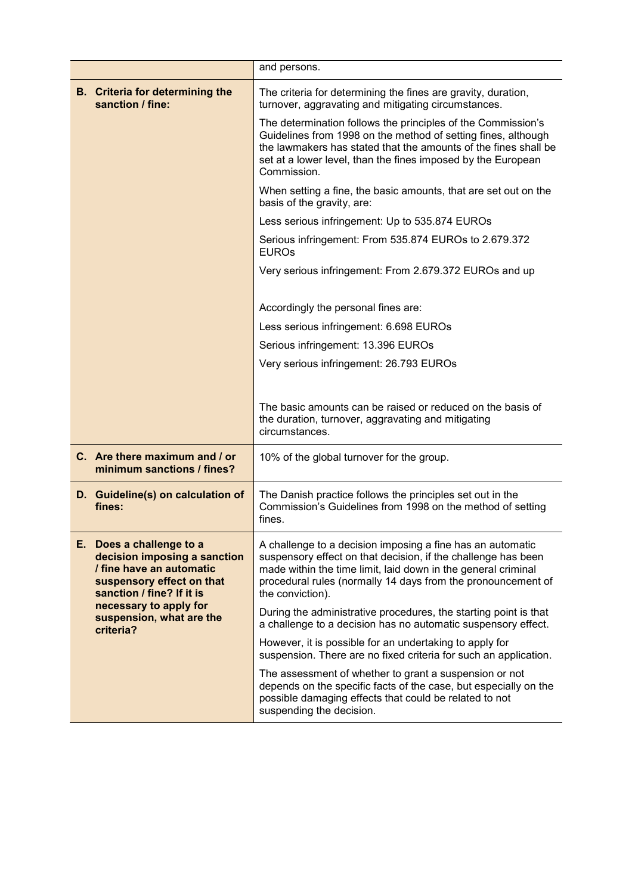|  |                                                                                                                                                                                                                   | and persons.                                                                                                                                                                                                                                                                     |
|--|-------------------------------------------------------------------------------------------------------------------------------------------------------------------------------------------------------------------|----------------------------------------------------------------------------------------------------------------------------------------------------------------------------------------------------------------------------------------------------------------------------------|
|  | <b>B.</b> Criteria for determining the<br>sanction / fine:                                                                                                                                                        | The criteria for determining the fines are gravity, duration,<br>turnover, aggravating and mitigating circumstances.                                                                                                                                                             |
|  |                                                                                                                                                                                                                   | The determination follows the principles of the Commission's<br>Guidelines from 1998 on the method of setting fines, although<br>the lawmakers has stated that the amounts of the fines shall be<br>set at a lower level, than the fines imposed by the European<br>Commission.  |
|  |                                                                                                                                                                                                                   | When setting a fine, the basic amounts, that are set out on the<br>basis of the gravity, are:                                                                                                                                                                                    |
|  |                                                                                                                                                                                                                   | Less serious infringement: Up to 535.874 EUROs                                                                                                                                                                                                                                   |
|  |                                                                                                                                                                                                                   | Serious infringement: From 535.874 EUROs to 2.679.372<br><b>EUROs</b>                                                                                                                                                                                                            |
|  |                                                                                                                                                                                                                   | Very serious infringement: From 2.679.372 EUROs and up                                                                                                                                                                                                                           |
|  |                                                                                                                                                                                                                   | Accordingly the personal fines are:                                                                                                                                                                                                                                              |
|  |                                                                                                                                                                                                                   | Less serious infringement: 6.698 EUROs                                                                                                                                                                                                                                           |
|  |                                                                                                                                                                                                                   | Serious infringement: 13.396 EUROs                                                                                                                                                                                                                                               |
|  |                                                                                                                                                                                                                   | Very serious infringement: 26.793 EUROs                                                                                                                                                                                                                                          |
|  |                                                                                                                                                                                                                   |                                                                                                                                                                                                                                                                                  |
|  |                                                                                                                                                                                                                   | The basic amounts can be raised or reduced on the basis of<br>the duration, turnover, aggravating and mitigating<br>circumstances.                                                                                                                                               |
|  | C. Are there maximum and / or<br>minimum sanctions / fines?                                                                                                                                                       | 10% of the global turnover for the group.                                                                                                                                                                                                                                        |
|  | D. Guideline(s) on calculation of<br>fines:                                                                                                                                                                       | The Danish practice follows the principles set out in the<br>Commission's Guidelines from 1998 on the method of setting<br>fines.                                                                                                                                                |
|  | E. Does a challenge to a<br>decision imposing a sanction<br>/ fine have an automatic<br>suspensory effect on that<br>sanction / fine? If it is<br>necessary to apply for<br>suspension, what are the<br>criteria? | A challenge to a decision imposing a fine has an automatic<br>suspensory effect on that decision, if the challenge has been<br>made within the time limit, laid down in the general criminal<br>procedural rules (normally 14 days from the pronouncement of<br>the conviction). |
|  |                                                                                                                                                                                                                   | During the administrative procedures, the starting point is that<br>a challenge to a decision has no automatic suspensory effect.                                                                                                                                                |
|  |                                                                                                                                                                                                                   | However, it is possible for an undertaking to apply for<br>suspension. There are no fixed criteria for such an application.                                                                                                                                                      |
|  |                                                                                                                                                                                                                   | The assessment of whether to grant a suspension or not<br>depends on the specific facts of the case, but especially on the<br>possible damaging effects that could be related to not<br>suspending the decision.                                                                 |